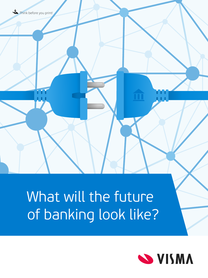# What will the future of banking look like?

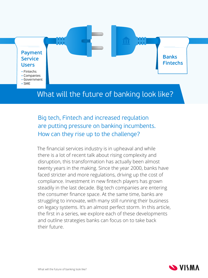

- Fintechs
- Companies
- Government
- SME

## What will the future of banking look like?

TT

## Big tech, Fintech and increased regulation are putting pressure on banking incumbents. How can they rise up to the challenge?

The financial services industry is in upheaval and while there is a lot of recent talk about rising complexity and disruption, this transformation has actually been almost twenty years in the making. Since the year 2000, banks have faced stricter and more regulations, driving up the cost of compliance. Investment in new fintech players has grown steadily in the last decade. Big tech companies are entering the consumer finance space. At the same time, banks are struggling to innovate, with many still running their business on legacy systems. It's an almost perfect storm. In this article, the first in a series, we explore each of these developments and outline strategies banks can focus on to take back their future.



**Banks**

**Fintechs**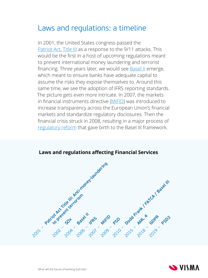# Laws and regulations: a timeline

In 2001, the United States congress passed the [Patriot Act, Title III](https://en.wikipedia.org/wiki/Patriot_Act,_Title_III) as a response to the 9/11 attacks. This would be the first in a host of upcoming regulations meant to prevent international money laundering and terrorist financing. Three years later, we would see **Basel II** emerge, which meant to ensure banks have adequate capital to assume the risks they expose themselves to. Around this same time, we see the adoption of IFRS reporting standards. The picture gets even more intricate. In 2007, the markets in financial instruments directive ([MiFID](https://www.investopedia.com/terms/m/mifid.asp)) was introduced to increase transparency across the European Union's financial markets and standardize regulatory disclosures. Then the financial crisis struck in 2008, resulting in a major process of [regulatory reform](https://papers.ssrn.com/sol3/papers.cfm?abstract_id=3304672) that gave birth to the Basel III framework.



#### **Laws and regulations affecting Financial Services**

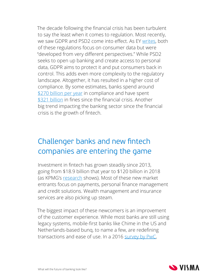The decade following the financial crisis has been turbulent to say the least when it comes to regulation. Most recently, we saw GDPR and PSD2 come into effect. As EY [writes,](https://www.ey.com/en_gl/banking-capital-markets/how-banks-can-balance-gdpr-and-psd2) both of these regulations focus on consumer data but were "developed from very different perspectives." While PSD2 seeks to open up banking and create access to personal data, GDPR aims to protect it and put consumers back in control. This adds even more complexity to the regulatory landscape. Altogether, it has resulted in a higher cost of compliance. By some estimates, banks spend around \$[270 billion per year](https://internationalbanker.com/technology/spotlight-compliance-costs-banks-get-business-ai/) in compliance and have spent \$[321 billion](https://www.bloomberg.com/news/articles/2017-03-23/banks-trimming-compliance-staff-as-321-billion-in-fines-abate) in fines since the financial crisis. Another big trend impacting the banking sector since the financial crisis is the growth of fintech.

# Challenger banks and new fintech companies are entering the game

Investment in fintech has grown steadily since 2013, going from \$18.9 billion that year to \$120 billion in 2018 (as KPMG's [research](https://assets.kpmg/content/dam/kpmg/cl/pdf/2018-12-kpmg-chile-advisory-fintech-pulse.pdf) shows). Most of these new market entrants focus on payments, personal finance management and credit solutions. Wealth management and insurance services are also picking up steam.

The biggest impact of these newcomers is an improvement of the customer experience. While most banks are still using legacy systems, mobile-first banks like Chime in the US and Netherlands-based bunq, to name a few, are redefining transactions and ease of use. In a 2016 [survey by PwC](https://www.pwc.com/gx/en/industries/financial-services/publications/fintech-is-reshaping-banking.html),

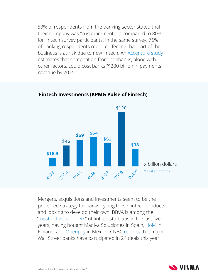53% of respondents from the banking sector stated that their company was "customer-centric," compared to 80% for fintech survey participants. In the same survey, 76% of banking respondents reported feeling that part of their business is at risk due to new fintech. An [Accenture study](https://newsroom.accenture.com/news/banks-risk-losing-us280-billion-in-payments-revenue-by-2025-according-to-accenture-report.htm) estimates that competition from nonbanks, along with other factors, could cost banks "\$280 billion in payments revenue by 2025."



#### **Fintech Investments (KPMG Pulse of Fintech)**

Mergers, acquisitions and investments seem to be the preferred strategy for banks eyeing these fintech products and looking to develop their own. BBVA is among the "[most active acquirers"](https://www.fintechfutures.com/2018/02/fintech-start-ups-acquired-by-banks-cb-insights/) of fintech start-ups in the last five years, having bought Madiva Soluciones in Spain, [Holvi](https://www.fintechfutures.com/2016/03/finnish-sme-banking-specialist-holvi-acquired-by-bbva/) in Finland, and [Openpay](https://www.fintechfutures.com/2017/04/bbva-buys-mexican-payments-start-up-openpay/) in Mexico. CNBC [reports](https://www.cnbc.com/2019/09/15/wall-street-banks-are-upping-bets-on-potential-fintech-competitors.html) that major Wall Street banks have participated in 24 deals this year

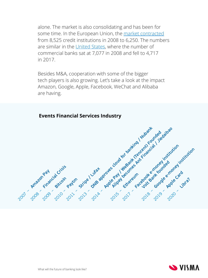alone. The market is also consolidating and has been for some time. In the European Union, the [market contracted](https://www.ebf.eu/wp-content/uploads/2018/09/Banking-in-Europe-2018-EBF-Facts-and-Figures.pdf) from 8,525 credit institutions in 2008 to 6,250. The numbers are similar in the [United States,](https://banks.data.fdic.gov/explore/historical?displayFields=STNAME%2CBANKS%2CASSET%2CDEP%2CNETINC%2CINTINC%2CEINTEXP%2CTPD&selectedEndDate=2018&selectedReport=CB&selectedStartDate=1934&selectedStates=0&sortField=YEAR&sortOrder=desc) where the number of commercial banks sat at 7,077 in 2008 and fell to 4,717 in 2017.

Besides M&A, cooperation with some of the bigger tech players is also growing. Let's take a look at the impact Amazon, Google, Apple, Facebook, WeChat and Alibaba are having.

#### **Events Financial Services Industry**



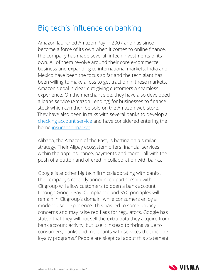# Big tech's influence on banking

Amazon launched Amazon Pay in 2007 and has since become a force of its own when it comes to online finance. The company has made several fintech investments of its own. All of them revolve around their core e-commerce business and expanding to international markets. India and Mexico have been the focus so far and the tech giant has been willing to make a loss to get traction in these markets. Amazon's goal is clear-cut: giving customers a seamless experience. On the merchant side, they have also developed a loans service (Amazon Lending) for businesses to finance stock which can then be sold on the Amazon web store. They have also been in talks with several banks to develop a [checking account service](https://www.bloomberg.com/news/articles/2018-03-05/amazon-in-talks-with-jpmorgan-over-checking-accounts-wsj-says) and have considered entering the home [insurance market](https://www.cnbc.com/2018/06/13/amazon-home-insurance-could-be-on-the-horizon-but-experts-are-skeptical-of-benefit-to-consumers.html).

Alibaba, the Amazon of the East, is betting on a similar strategy. Their Alipay ecosystem offers financial services within the app: insurance, payments and more - all with the push of a button and offered in collaboration with banks.

Google is another big tech firm collaborating with banks. The company's recently announced partnership with Citigroup will allow customers to open a bank account through Google Pay. Compliance and KYC principles will remain in Citigroup's domain, while consumers enjoy a modern user experience. This has led to some privacy concerns and may raise red flags for regulators. Google has stated that they will not sell the extra data they acquire from bank account activity, but use it instead to "bring value to consumers, banks and merchants with services that include loyalty programs." People are skeptical about this statement.

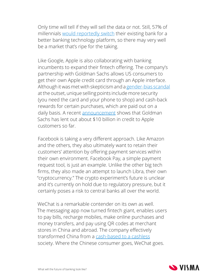Only time will tell if they will sell the data or not. Still, 57% of millennials [would reportedly switch](https://investhandbook.com/bank-of-the-future-look-like/) their existing bank for a better banking technology platform, so there may very well be a market that's ripe for the taking.

Like Google, Apple is also collaborating with banking incumbents to expand their fintech offering. The company's partnership with Goldman Sachs allows US consumers to get their own Apple credit card through an Apple interface. Although it was met with skepticism and a [gender-bias](https://markets.businessinsider.com/news/stocks/goldman-sachs-apple-card-no-bias-says-ceo-david-solomon-2019-11-1028708116) scandal at the outset, unique selling points include more security (you need the card and your phone to shop) and cash-back rewards for certain purchases, which are paid out on a daily basis. A recent [announcement](https://edition.cnn.com/2019/11/02/business/apple-goldman-10-billion/index.html) shows that Goldman Sachs has lent out about \$10 billion in credit to Apple customers so far.

Facebook is taking a very different approach. Like Amazon and the others, they also ultimately want to retain their customers' attention by offering payment services within their own environment. Facebook Pay, a simple payment request tool, is just an example. Unlike the other big tech firms, they also made an attempt to launch Libra, their own "cryptocurrency." The crypto experiment's future is unclear and it's currently on hold due to regulatory pressure, but it certainly poses a risk to central banks all over the world.

WeChat is a remarkable contender on its own as well. The messaging app now turned fintech giant, enables users to pay bills, recharge mobiles, make online purchases and money transfers, and pay using QR codes at merchant stores in China and abroad. The company effectively transformed China from a [cash-based to a cashless](https://www.youtube.com/watch?v=gysKE3POUv0) society. Where the Chinese consumer goes, WeChat goes.

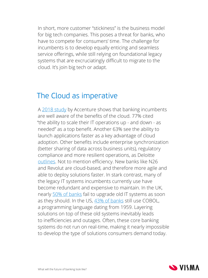In short, more customer "stickiness" is the business model for big tech companies. This poses a threat for banks, who have to compete for consumers' time. The challenge for incumbents is to develop equally enticing and seamless service offerings, while still relying on foundational legacy systems that are excruciatingly difficult to migrate to the cloud. It's join big tech or adapt.

## The Cloud as imperative

A [2018 study](https://newsroom.accenture.com/news/banks-ability-to-maximize-their-use-of-new-digital-technologies-may-be-hindered-by-slow-transition-to-the-cloud-new-research-from-accenture-shows.htm) by Accenture shows that banking incumbents are well aware of the benefits of the cloud. 77% cited "the ability to scale their IT operations up - and down - as needed" as a top benefit. Another 63% see the ability to launch applications faster as a key advantage of cloud adoption. Other benefits include enterprise synchronization (better sharing of data across business units), regulatory compliance and more resilient operations, as Deloitte [outlines](https://www2.deloitte.com/global/en/pages/financial-services/articles/bank-2030-financial-services-cloud.html). Not to mention efficiency. New banks like N26 and Revolut are cloud-based, and therefore more agile and able to deploy solutions faster. In stark contrast, many of the legacy IT systems incumbents currently use have become redundant and expensive to maintain. In the UK, nearly [50% of banks](https://www.ft.com/content/87254fbe-f227-11e8-ae55-df4bf40f9d0d) fail to upgrade old IT systems as soon as they should. In the US,  $43\%$  of banks still use COBOL, a programming language dating from 1959. Layering solutions on top of these old systems inevitably leads to inefficiencies and outages. Often, these core banking systems do not run on real-time, making it nearly impossible to develop the type of solutions consumers demand today.

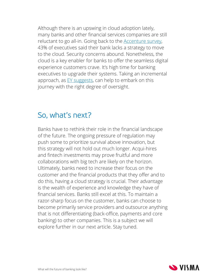Although there is an upswing in cloud adoption lately, many banks and other financial services companies are still reluctant to go all-in. Going back to the **Accenture survey**, 43% of executives said their bank lacks a strategy to move to the cloud. Security concerns abound. Nonetheless, the cloud is a key enabler for banks to offer the seamless digital experience customers crave. It's high time for banking executives to upgrade their systems. Taking an incremental approach, as  $EY$  suggests, can help to embark on this journey with the right degree of oversight.

# So, what's next?

Banks have to rethink their role in the financial landscape of the future. The ongoing pressure of regulation may push some to prioritize survival above innovation, but this strategy will not hold out much longer. Acqui-hires and fintech investments may prove fruitful and more collaborations with big tech are likely on the horizon. Ultimately, banks need to increase their focus on the customer and the financial products that they offer and to do this, having a cloud strategy is crucial. Their advantage is the wealth of experience and knowledge they have of financial services. Banks still excel at this. To maintain a razor-sharp focus on the customer, banks can choose to become primarily service providers and outsource anything that is not differentiating (back-office, payments and core banking) to other companies. This is a subject we will explore further in our next article. Stay tuned.